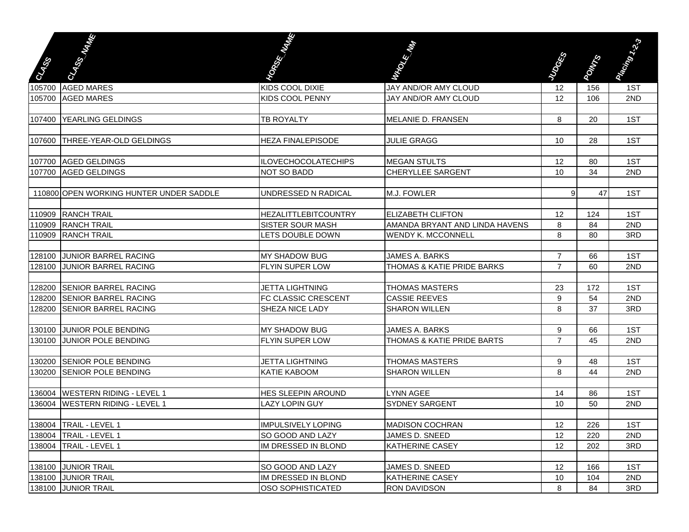|               | <b>Change of Britain</b>                | <b>Contract Contract Contract Contract Contract Contract Contract Contract Contract Contract Contract Contract C</b> | March 1980                     |                |              | Particular Contractor |
|---------------|-----------------------------------------|----------------------------------------------------------------------------------------------------------------------|--------------------------------|----------------|--------------|-----------------------|
| <b>Called</b> |                                         |                                                                                                                      |                                | <b>RESERVE</b> | <b>POWER</b> |                       |
|               | 105700 AGED MARES                       | KIDS COOL DIXIE                                                                                                      | JAY AND/OR AMY CLOUD           | 12             | 156          | 1ST                   |
|               | 105700 AGED MARES                       | KIDS COOL PENNY                                                                                                      | JAY AND/OR AMY CLOUD           | 12             | 106          | 2ND                   |
|               |                                         |                                                                                                                      |                                |                |              |                       |
|               | 107400 YEARLING GELDINGS                | TB ROYALTY                                                                                                           | MELANIE D. FRANSEN             | 8              | 20           | 1ST                   |
| 107600        | <b>THREE-YEAR-OLD GELDINGS</b>          | <b>HEZA FINALEPISODE</b>                                                                                             | <b>JULIE GRAGG</b>             | 10             | 28           | 1ST                   |
|               | 107700 AGED GELDINGS                    | <b>ILOVECHOCOLATECHIPS</b>                                                                                           | <b>MEGAN STULTS</b>            | 12             | 80           | 1ST                   |
|               | 107700 AGED GELDINGS                    | <b>NOT SO BADD</b>                                                                                                   | <b>CHERYLLEE SARGENT</b>       | 10             | 34           | 2ND                   |
|               | 110800 OPEN WORKING HUNTER UNDER SADDLE | UNDRESSED N RADICAL                                                                                                  | M.J. FOWLER                    | 9              | 47           | 1ST                   |
|               |                                         |                                                                                                                      |                                |                |              |                       |
|               | 110909 RANCH TRAIL                      | <b>HEZALITTLEBITCOUNTRY</b>                                                                                          | <b>IELIZABETH CLIFTON</b>      | 12             | 124          | 1ST                   |
|               | 110909 RANCH TRAIL                      | <b>SISTER SOUR MASH</b>                                                                                              | AMANDA BRYANT AND LINDA HAVENS | 8              | 84           | 2ND                   |
|               | 110909 RANCH TRAIL                      | <b>LETS DOUBLE DOWN</b>                                                                                              | <b>WENDY K. MCCONNELL</b>      | 8              | 80           | 3RD                   |
|               | 128100 JUNIOR BARREL RACING             | <b>MY SHADOW BUG</b>                                                                                                 | JAMES A. BARKS                 | $\overline{7}$ | 66           | 1ST                   |
| 128100        | <b>JUNIOR BARREL RACING</b>             | <b>FLYIN SUPER LOW</b>                                                                                               | THOMAS & KATIE PRIDE BARKS     | $\overline{7}$ | 60           | 2ND                   |
|               |                                         |                                                                                                                      |                                |                |              |                       |
| 128200        | <b>SENIOR BARREL RACING</b>             | <b>JETTA LIGHTNING</b>                                                                                               | <b>THOMAS MASTERS</b>          | 23             | 172          | 1ST                   |
| 128200        | <b>SENIOR BARREL RACING</b>             | FC CLASSIC CRESCENT                                                                                                  | <b>CASSIE REEVES</b>           | 9              | 54           | 2ND                   |
| 128200        | <b>SENIOR BARREL RACING</b>             | SHEZA NICE LADY                                                                                                      | <b>SHARON WILLEN</b>           | 8              | 37           | 3RD                   |
|               |                                         |                                                                                                                      |                                |                |              |                       |
| 130100        | <b>JUNIOR POLE BENDING</b>              | <b>MY SHADOW BUG</b>                                                                                                 | JAMES A. BARKS                 | 9              | 66           | 1ST                   |
| 130100        | <b>JUNIOR POLE BENDING</b>              | <b>FLYIN SUPER LOW</b>                                                                                               | THOMAS & KATIE PRIDE BARTS     | $\overline{7}$ | 45           | 2ND                   |
|               | 130200 SENIOR POLE BENDING              | <b>JETTA LIGHTNING</b>                                                                                               | <b>THOMAS MASTERS</b>          | 9              | 48           | 1ST                   |
|               | 130200 SENIOR POLE BENDING              | <b>KATIE KABOOM</b>                                                                                                  | <b>SHARON WILLEN</b>           | 8              | 44           | 2ND                   |
|               |                                         |                                                                                                                      |                                |                |              |                       |
|               | 136004   WESTERN RIDING - LEVEL 1       | <b>HES SLEEPIN AROUND</b>                                                                                            | <b>LYNN AGEE</b>               | 14             | 86           | 1ST                   |
|               | 136004 WESTERN RIDING - LEVEL 1         | <b>LAZY LOPIN GUY</b>                                                                                                | <b>SYDNEY SARGENT</b>          | 10             | 50           | 2ND                   |
|               |                                         |                                                                                                                      |                                |                |              |                       |
|               | 138004 TRAIL - LEVEL 1                  | <b>IMPULSIVELY LOPING</b>                                                                                            | <b>MADISON COCHRAN</b>         | 12             | 226          | 1ST                   |
|               | 138004   TRAIL - LEVEL 1                | SO GOOD AND LAZY                                                                                                     | JAMES D. SNEED                 | 12             | 220          | 2ND                   |
|               | 138004   TRAIL - LEVEL 1                | IM DRESSED IN BLOND                                                                                                  | <b>KATHERINE CASEY</b>         | 12             | 202          | 3RD                   |
|               | 138100 JUNIOR TRAIL                     | SO GOOD AND LAZY                                                                                                     | JAMES D. SNEED                 | 12             | 166          | 1ST                   |
|               | 138100 JUNIOR TRAIL                     | IM DRESSED IN BLOND                                                                                                  | <b>KATHERINE CASEY</b>         | 10             | 104          | 2ND                   |
|               | 138100 JUNIOR TRAIL                     | <b>OSO SOPHISTICATED</b>                                                                                             | <b>RON DAVIDSON</b>            | 8              | 84           | 3RD                   |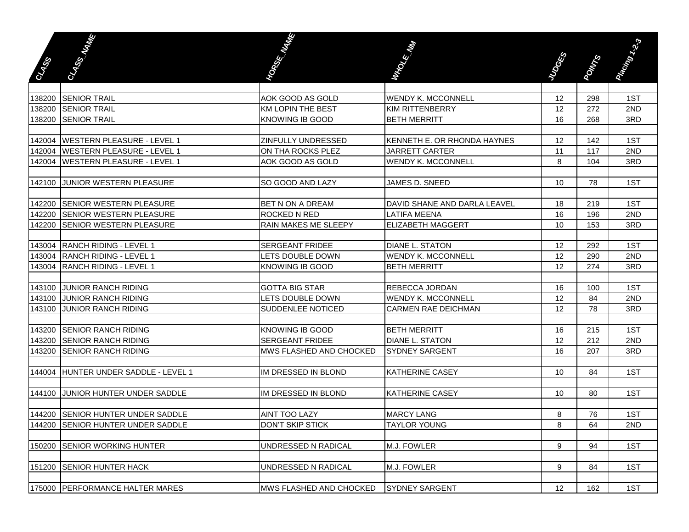|             | <b>Change of Britain Company</b>     | <b>Contract Contract Contract Contract Contract Contract Contract Contract Contract Contract Contract Contract C</b> | MARKET MARKET                |                 |              | Plastrong Capital |
|-------------|--------------------------------------|----------------------------------------------------------------------------------------------------------------------|------------------------------|-----------------|--------------|-------------------|
| <b>BASE</b> |                                      |                                                                                                                      |                              | <b>Research</b> | <b>POWER</b> |                   |
|             |                                      |                                                                                                                      |                              |                 |              |                   |
|             | 138200 SENIOR TRAIL                  | AOK GOOD AS GOLD                                                                                                     | <b>WENDY K. MCCONNELL</b>    | 12              | 298          | 1ST               |
|             | 138200 SENIOR TRAIL                  | <b>KM LOPIN THE BEST</b>                                                                                             | <b>KIM RITTENBERRY</b>       | 12              | 272          | 2ND               |
|             | 138200 SENIOR TRAIL                  | <b>KNOWING IB GOOD</b>                                                                                               | <b>BETH MERRITT</b>          | 16              | 268          | 3RD               |
|             |                                      |                                                                                                                      |                              |                 |              |                   |
| 142004      | <b>WESTERN PLEASURE - LEVEL 1</b>    | ZINFULLY UNDRESSED                                                                                                   | KENNETH E. OR RHONDA HAYNES  | 12              | 142          | 1ST               |
|             | 142004   WESTERN PLEASURE - LEVEL 1  | ON THA ROCKS PLEZ                                                                                                    | <b>JARRETT CARTER</b>        | 11              | 117          | 2ND               |
| 142004      | <b>WESTERN PLEASURE - LEVEL 1</b>    | AOK GOOD AS GOLD                                                                                                     | <b>WENDY K. MCCONNELL</b>    | 8               | 104          | 3RD               |
|             |                                      |                                                                                                                      |                              |                 |              |                   |
|             | 142100 JUNIOR WESTERN PLEASURE       | SO GOOD AND LAZY                                                                                                     | JAMES D. SNEED               | 10              | 78           | 1ST               |
|             |                                      |                                                                                                                      |                              |                 |              |                   |
| 142200      | <b>SENIOR WESTERN PLEASURE</b>       | BET N ON A DREAM                                                                                                     | DAVID SHANE AND DARLA LEAVEL | 18              | 219          | 1ST               |
|             | 142200 SENIOR WESTERN PLEASURE       | <b>ROCKED N RED</b>                                                                                                  | <b>LATIFA MEENA</b>          | 16              | 196          | 2ND               |
| 142200      | <b>SENIOR WESTERN PLEASURE</b>       | RAIN MAKES ME SLEEPY                                                                                                 | <b>ELIZABETH MAGGERT</b>     | 10              | 153          | 3RD               |
|             |                                      |                                                                                                                      |                              |                 |              |                   |
|             | 143004 RANCH RIDING - LEVEL 1        | <b>SERGEANT FRIDEE</b>                                                                                               | <b>DIANE L. STATON</b>       | 12              | 292          | 1ST               |
| 143004      | <b>RANCH RIDING - LEVEL 1</b>        | <b>LETS DOUBLE DOWN</b>                                                                                              | <b>WENDY K. MCCONNELL</b>    | 12              | 290          | 2ND               |
| 143004      | <b>RANCH RIDING - LEVEL 1</b>        | <b>KNOWING IB GOOD</b>                                                                                               | <b>BETH MERRITT</b>          | 12              | 274          | 3RD               |
|             |                                      |                                                                                                                      |                              |                 |              |                   |
| 143100      | <b>JUNIOR RANCH RIDING</b>           | <b>GOTTA BIG STAR</b>                                                                                                | <b>REBECCA JORDAN</b>        | 16              | 100          | 1ST               |
| 143100      | <b>JUNIOR RANCH RIDING</b>           | LETS DOUBLE DOWN                                                                                                     | <b>WENDY K. MCCONNELL</b>    | 12              | 84           | 2ND               |
| 143100      | <b>JUNIOR RANCH RIDING</b>           | SUDDENLEE NOTICED                                                                                                    | CARMEN RAE DEICHMAN          | 12              | 78           | 3RD               |
|             |                                      |                                                                                                                      |                              |                 |              |                   |
|             | 143200 SENIOR RANCH RIDING           | <b>KNOWING IB GOOD</b>                                                                                               | <b>BETH MERRITT</b>          | 16              | 215          | 1ST               |
| 143200      | <b>ISENIOR RANCH RIDING</b>          | <b>SERGEANT FRIDEE</b>                                                                                               | <b>DIANE L. STATON</b>       | 12              | 212          | 2ND               |
| 143200      | <b>ISENIOR RANCH RIDING</b>          | MWS FLASHED AND CHOCKED                                                                                              | <b>SYDNEY SARGENT</b>        | 16              | 207          | 3RD               |
|             |                                      |                                                                                                                      |                              |                 |              |                   |
|             | 144004 HUNTER UNDER SADDLE - LEVEL 1 | IM DRESSED IN BLOND                                                                                                  | <b>KATHERINE CASEY</b>       | 10              | 84           | 1ST               |
|             |                                      |                                                                                                                      |                              |                 |              |                   |
|             | 144100 JUNIOR HUNTER UNDER SADDLE    | IM DRESSED IN BLOND                                                                                                  | <b>KATHERINE CASEY</b>       | 10              | 80           | 1ST               |
|             | 144200 SENIOR HUNTER UNDER SADDLE    | <b>AINT TOO LAZY</b>                                                                                                 | <b>MARCY LANG</b>            | 8               | 76           | 1ST               |
|             | 144200 SENIOR HUNTER UNDER SADDLE    | <b>DON'T SKIP STICK</b>                                                                                              | <b>TAYLOR YOUNG</b>          | 8               | 64           | 2ND               |
|             |                                      |                                                                                                                      |                              |                 |              |                   |
| 150200      | <b>SENIOR WORKING HUNTER</b>         | UNDRESSED N RADICAL                                                                                                  | M.J. FOWLER                  | 9               | 94           | 1ST               |
|             |                                      |                                                                                                                      |                              |                 |              |                   |
| 151200      | <b>SENIOR HUNTER HACK</b>            | UNDRESSED N RADICAL                                                                                                  | M.J. FOWLER                  | 9               | 84           | 1ST               |
|             |                                      |                                                                                                                      |                              |                 |              |                   |
|             | 175000 PERFORMANCE HALTER MARES      | MWS FLASHED AND CHOCKED                                                                                              | <b>SYDNEY SARGENT</b>        | 12              | 162          | 1ST               |
|             |                                      |                                                                                                                      |                              |                 |              |                   |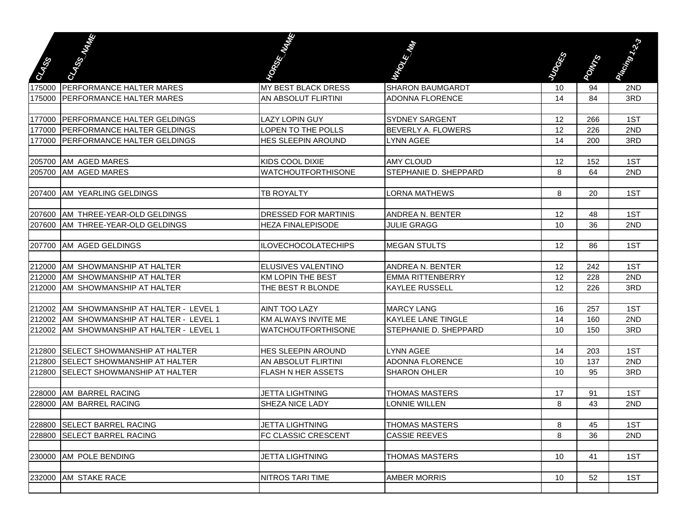| CARSS  | <b>CASSION AND INCOME.</b>          | <b>Contract Contract Contract Contract Contract Contract Contract Contract Contract Contract Contract Contract C</b> | <b>REGISTER</b>           | <b>Research</b> | <b>POWER</b> | President of the State |
|--------|-------------------------------------|----------------------------------------------------------------------------------------------------------------------|---------------------------|-----------------|--------------|------------------------|
|        |                                     |                                                                                                                      |                           |                 |              |                        |
| 175000 | <b>PERFORMANCE HALTER MARES</b>     | MY BEST BLACK DRESS                                                                                                  | <b>SHARON BAUMGARDT</b>   | 10              | 94           | 2ND                    |
| 175000 | <b>IPERFORMANCE HALTER MARES</b>    | AN ABSOLUT FLIRTINI                                                                                                  | <b>ADONNA FLORENCE</b>    | 14              | 84           | 3RD                    |
| 177000 | PERFORMANCE HALTER GELDINGS         | <b>LAZY LOPIN GUY</b>                                                                                                | <b>SYDNEY SARGENT</b>     | 12              | 266          | 1ST                    |
| 177000 | <b>PERFORMANCE HALTER GELDINGS</b>  | <b>LOPEN TO THE POLLS</b>                                                                                            | BEVERLY A. FLOWERS        | 12              | 226          | 2ND                    |
| 177000 | <b>PERFORMANCE HALTER GELDINGS</b>  | HES SLEEPIN AROUND                                                                                                   | <b>LYNN AGEE</b>          | 14              | 200          | 3RD                    |
|        |                                     |                                                                                                                      |                           |                 |              |                        |
| 205700 | AM AGED MARES                       | <b>KIDS COOL DIXIE</b>                                                                                               | <b>AMY CLOUD</b>          | 12              | 152          | 1ST                    |
| 205700 | <b>JAM AGED MARES</b>               | <b>WATCHOUTFORTHISONE</b>                                                                                            | STEPHANIE D. SHEPPARD     | 8               | 64           | 2ND                    |
|        |                                     |                                                                                                                      |                           |                 |              |                        |
| 207400 | <b>AM YEARLING GELDINGS</b>         | TB ROYALTY                                                                                                           | <b>LORNA MATHEWS</b>      | 8               | 20           | 1ST                    |
|        |                                     |                                                                                                                      |                           |                 |              |                        |
| 207600 | AM THREE-YEAR-OLD GELDINGS          | <b>DRESSED FOR MARTINIS</b>                                                                                          | <b>ANDREA N. BENTER</b>   | 12              | 48           | 1ST                    |
| 207600 | AM THREE-YEAR-OLD GELDINGS          | <b>HEZA FINALEPISODE</b>                                                                                             | <b>JULIE GRAGG</b>        | 10              | 36           | 2ND                    |
|        |                                     |                                                                                                                      |                           |                 |              |                        |
| 207700 | <b>AM AGED GELDINGS</b>             | <b>ILOVECHOCOLATECHIPS</b>                                                                                           | <b>MEGAN STULTS</b>       | 12              | 86           | 1ST                    |
|        |                                     |                                                                                                                      |                           |                 |              |                        |
| 212000 | AM SHOWMANSHIP AT HALTER            | <b>ELUSIVES VALENTINO</b>                                                                                            | <b>ANDREA N. BENTER</b>   | 12              | 242          | 1ST                    |
| 212000 | AM SHOWMANSHIP AT HALTER            | <b>KM LOPIN THE BEST</b>                                                                                             | <b>EMMA RITTENBERRY</b>   | 12              | 228          | 2ND                    |
| 212000 | IAM SHOWMANSHIP AT HALTER           | THE BEST R BLONDE                                                                                                    | <b>I</b> KAYLEE RUSSELL   | 12              | 226          | 3RD                    |
|        |                                     |                                                                                                                      |                           |                 |              |                        |
| 212002 | AM SHOWMANSHIP AT HALTER - LEVEL 1  | <b>AINT TOO LAZY</b>                                                                                                 | <b>MARCY LANG</b>         | 16              | 257          | 1ST                    |
| 212002 | AM SHOWMANSHIP AT HALTER - LEVEL 1  | <b>KM ALWAYS INVITE ME</b>                                                                                           | <b>KAYLEE LANE TINGLE</b> | 14              | 160          | 2ND                    |
| 212002 | AM SHOWMANSHIP AT HALTER - LEVEL 1  | <b>WATCHOUTFORTHISONE</b>                                                                                            | STEPHANIE D. SHEPPARD     | 10              | 150          | 3RD                    |
| 212800 | <b>SELECT SHOWMANSHIP AT HALTER</b> | HES SLEEPIN AROUND                                                                                                   | <b>LYNN AGEE</b>          | 14              | 203          | 1ST                    |
| 212800 | <b>SELECT SHOWMANSHIP AT HALTER</b> | AN ABSOLUT FLIRTINI                                                                                                  | ADONNA FLORENCE           | 10              | 137          | 2ND                    |
| 212800 | <b>SELECT SHOWMANSHIP AT HALTER</b> | <b>FLASH N HER ASSETS</b>                                                                                            | <b>SHARON OHLER</b>       | 10              | 95           | 3RD                    |
|        |                                     |                                                                                                                      |                           |                 |              |                        |
| 228000 | <b>JAM BARREL RACING</b>            | <b>JETTA LIGHTNING</b>                                                                                               | <b>THOMAS MASTERS</b>     | 17              | 91           | 1ST                    |
| 228000 | <b>AM BARREL RACING</b>             | SHEZA NICE LADY                                                                                                      | LONNIE WILLEN             | 8               | 43           | 2ND                    |
|        |                                     |                                                                                                                      |                           |                 |              |                        |
|        | 228800 SELECT BARREL RACING         | <b>JETTA LIGHTNING</b>                                                                                               | <b>THOMAS MASTERS</b>     | 8               | 45           | 1ST                    |
|        | 228800 SELECT BARREL RACING         | FC CLASSIC CRESCENT                                                                                                  | <b>CASSIE REEVES</b>      | 8               | 36           | 2ND                    |
|        |                                     |                                                                                                                      |                           |                 |              |                        |
|        | 230000 AM POLE BENDING              | <b>JETTA LIGHTNING</b>                                                                                               | <b>THOMAS MASTERS</b>     | 10              | 41           | 1ST                    |
|        |                                     |                                                                                                                      |                           |                 |              |                        |
|        | 232000 AM STAKE RACE                | NITROS TARI TIME                                                                                                     | <b>AMBER MORRIS</b>       | 10              | 52           | 1ST                    |
|        |                                     |                                                                                                                      |                           |                 |              |                        |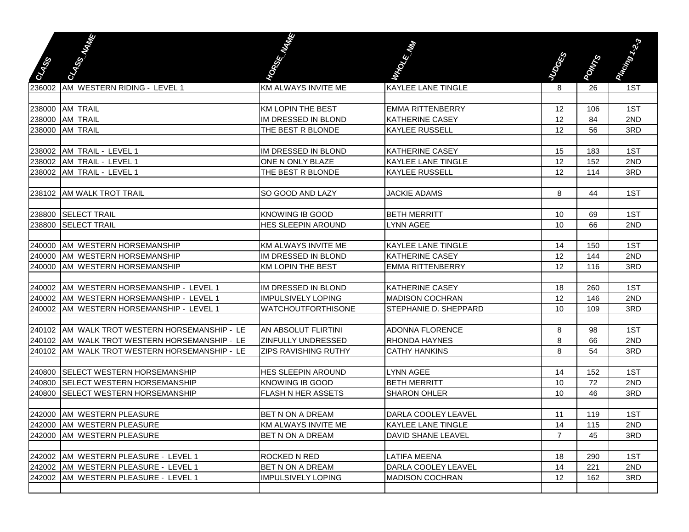|              | CLASSIFICATION                                | <b>Contract Contract Contract Contract Contract Contract Contract Contract Contract Contract Contract Contract C</b> |                           |                |              | Plasting City |
|--------------|-----------------------------------------------|----------------------------------------------------------------------------------------------------------------------|---------------------------|----------------|--------------|---------------|
|              |                                               |                                                                                                                      | March 1986                | <b>RESERVE</b> |              |               |
| <b>STATE</b> |                                               |                                                                                                                      |                           |                | <b>Pours</b> |               |
| 236002       | AM WESTERN RIDING - LEVEL 1                   | <b>KM ALWAYS INVITE ME</b>                                                                                           | <b>KAYLEE LANE TINGLE</b> | 8              | 26           | 1ST           |
|              |                                               |                                                                                                                      |                           |                |              |               |
|              | 238000 AM TRAIL                               | <b>KM LOPIN THE BEST</b>                                                                                             | <b>EMMA RITTENBERRY</b>   | 12             | 106          | 1ST           |
|              | 238000 AM TRAIL                               | IM DRESSED IN BLOND                                                                                                  | <b>KATHERINE CASEY</b>    | 12             | 84           | 2ND           |
|              | 238000 AM TRAIL                               | THE BEST R BLONDE                                                                                                    | <b>KAYLEE RUSSELL</b>     | 12             | 56           | 3RD           |
|              |                                               |                                                                                                                      |                           |                |              |               |
|              | 238002 AM TRAIL - LEVEL 1                     | IM DRESSED IN BLOND                                                                                                  | <b>KATHERINE CASEY</b>    | 15             | 183          | 1ST           |
|              | 238002 AM TRAIL - LEVEL 1                     | ONE N ONLY BLAZE                                                                                                     | <b>KAYLEE LANE TINGLE</b> | 12             | 152          | 2ND           |
|              | 238002 AM TRAIL - LEVEL 1                     | THE BEST R BLONDE                                                                                                    | <b>KAYLEE RUSSELL</b>     | 12             | 114          | 3RD           |
|              | 238102 AM WALK TROT TRAIL                     | SO GOOD AND LAZY                                                                                                     | <b>JACKIE ADAMS</b>       | 8              | 44           | 1ST           |
|              |                                               |                                                                                                                      |                           |                |              |               |
|              | 238800 SELECT TRAIL                           | <b>KNOWING IB GOOD</b>                                                                                               | <b>BETH MERRITT</b>       | 10             | 69           | 1ST           |
|              | 238800 SELECT TRAIL                           | HES SLEEPIN AROUND                                                                                                   | <b>LYNN AGEE</b>          | 10             | 66           | 2ND           |
|              |                                               |                                                                                                                      |                           |                |              |               |
|              | 240000 AM WESTERN HORSEMANSHIP                | KM ALWAYS INVITE ME                                                                                                  | <b>KAYLEE LANE TINGLE</b> | 14             | 150          | 1ST           |
|              | 240000 AM WESTERN HORSEMANSHIP                | IM DRESSED IN BLOND                                                                                                  | <b>KATHERINE CASEY</b>    | 12             | 144          | 2ND           |
| 240000       | AM WESTERN HORSEMANSHIP                       | <b>KM LOPIN THE BEST</b>                                                                                             | <b>EMMA RITTENBERRY</b>   | 12             | 116          | 3RD           |
|              |                                               |                                                                                                                      |                           |                |              |               |
|              | 240002 AM WESTERN HORSEMANSHIP - LEVEL 1      | IM DRESSED IN BLOND                                                                                                  | <b>KATHERINE CASEY</b>    | 18             | 260          | 1ST           |
|              | 240002 AM WESTERN HORSEMANSHIP - LEVEL 1      | <b>IMPULSIVELY LOPING</b>                                                                                            | <b>MADISON COCHRAN</b>    | 12             | 146          | 2ND           |
| 240002       | AM WESTERN HORSEMANSHIP - LEVEL 1             | <b>WATCHOUTFORTHISONE</b>                                                                                            | STEPHANIE D. SHEPPARD     | 10             | 109          | 3RD           |
|              |                                               |                                                                                                                      |                           |                |              |               |
|              | 240102 AM WALK TROT WESTERN HORSEMANSHIP - LE | AN ABSOLUT FLIRTINI                                                                                                  | <b>ADONNA FLORENCE</b>    | 8              | 98           | 1ST           |
|              | 240102 AM WALK TROT WESTERN HORSEMANSHIP - LE | ZINFULLY UNDRESSED                                                                                                   | <b>RHONDA HAYNES</b>      | 8              | 66           | 2ND           |
|              | 240102 AM WALK TROT WESTERN HORSEMANSHIP - LE | <b>ZIPS RAVISHING RUTHY</b>                                                                                          | <b>CATHY HANKINS</b>      | 8              | 54           | 3RD           |
| 240800       | <b>SELECT WESTERN HORSEMANSHIP</b>            | HES SLEEPIN AROUND                                                                                                   | LYNN AGEE                 | 14             | 152          | 1ST           |
| 240800       | <b>SELECT WESTERN HORSEMANSHIP</b>            | <b>KNOWING IB GOOD</b>                                                                                               | <b>BETH MERRITT</b>       | 10             | 72           | 2ND           |
| 240800       | <b>SELECT WESTERN HORSEMANSHIP</b>            | FLASH N HER ASSETS                                                                                                   | <b>SHARON OHLER</b>       | 10             | 46           | 3RD           |
|              |                                               |                                                                                                                      |                           |                |              |               |
|              | 242000 AM WESTERN PLEASURE                    | BET N ON A DREAM                                                                                                     | DARLA COOLEY LEAVEL       | 11             | 119          | 1ST           |
|              | 242000 AM WESTERN PLEASURE                    | KM ALWAYS INVITE ME                                                                                                  | KAYLEE LANE TINGLE        | 14             | 115          | 2ND           |
|              | 242000 JAM WESTERN PLEASURE                   | BET N ON A DREAM                                                                                                     | <b>DAVID SHANE LEAVEL</b> | $\overline{7}$ | 45           | 3RD           |
|              |                                               |                                                                                                                      |                           |                |              |               |
|              | 242002 AM WESTERN PLEASURE - LEVEL 1          | ROCKED N RED                                                                                                         | <b>LATIFA MEENA</b>       | 18             | 290          | 1ST           |
|              | 242002 AM WESTERN PLEASURE - LEVEL 1          | BET N ON A DREAM                                                                                                     | DARLA COOLEY LEAVEL       | 14             | 221          | 2ND           |
|              | 242002 AM WESTERN PLEASURE - LEVEL 1          | <b>IMPULSIVELY LOPING</b>                                                                                            | <b>MADISON COCHRAN</b>    | 12             | 162          | 3RD           |
|              |                                               |                                                                                                                      |                           |                |              |               |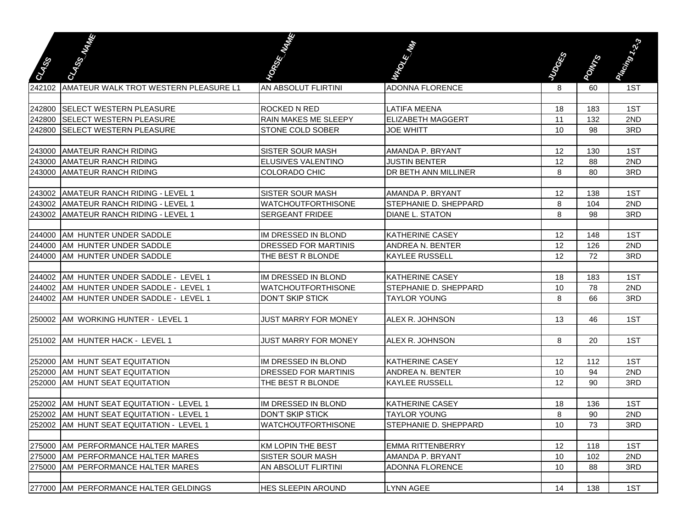| <b>CASS</b> | <b>Calculation</b>                       | <b>Contract Contract Contract Contract Contract Contract Contract Contract Contract Contract Contract Contract C</b> | March 1980                   | <b>Research</b> | <b>ROWER</b> | President Capital |
|-------------|------------------------------------------|----------------------------------------------------------------------------------------------------------------------|------------------------------|-----------------|--------------|-------------------|
|             |                                          |                                                                                                                      |                              |                 |              |                   |
| 242102      | AMATEUR WALK TROT WESTERN PLEASURE L1    | AN ABSOLUT FLIRTINI                                                                                                  | <b>ADONNA FLORENCE</b>       | 8               | 60           | 1ST               |
|             |                                          |                                                                                                                      |                              |                 |              |                   |
| 242800      | <b>SELECT WESTERN PLEASURE</b>           | <b>ROCKED N RED</b>                                                                                                  | <b>LATIFA MEENA</b>          | 18              | 183          | 1ST               |
| 242800      | <b>SELECT WESTERN PLEASURE</b>           | RAIN MAKES ME SLEEPY                                                                                                 | <b>ELIZABETH MAGGERT</b>     | 11              | 132          | 2ND               |
| 242800      | <b>SELECT WESTERN PLEASURE</b>           | <b>STONE COLD SOBER</b>                                                                                              | <b>JOE WHITT</b>             | 10              | 98           | 3RD               |
|             |                                          |                                                                                                                      |                              |                 |              |                   |
| 243000      | <b>AMATEUR RANCH RIDING</b>              | SISTER SOUR MASH                                                                                                     | AMANDA P. BRYANT             | 12              | 130          | 1ST               |
| 243000      | <b>AMATEUR RANCH RIDING</b>              | ELUSIVES VALENTINO                                                                                                   | <b>JUSTIN BENTER</b>         | 12              | 88           | 2ND               |
| 243000      | <b>AMATEUR RANCH RIDING</b>              | <b>COLORADO CHIC</b>                                                                                                 | <b>DR BETH ANN MILLINER</b>  | 8               | 80           | 3RD               |
|             |                                          |                                                                                                                      |                              |                 |              |                   |
| 243002      | AMATEUR RANCH RIDING - LEVEL 1           | <b>SISTER SOUR MASH</b>                                                                                              | AMANDA P. BRYANT             | 12              | 138          | 1ST               |
|             | 243002 AMATEUR RANCH RIDING - LEVEL 1    | <b>WATCHOUTFORTHISONE</b>                                                                                            | <b>STEPHANIE D. SHEPPARD</b> | 8               | 104          | 2ND               |
|             | 243002 AMATEUR RANCH RIDING - LEVEL 1    | <b>SERGEANT FRIDEE</b>                                                                                               | <b>DIANE L. STATON</b>       | 8               | 98           | 3RD               |
|             |                                          |                                                                                                                      |                              |                 |              |                   |
|             | 244000 AM HUNTER UNDER SADDLE            | IM DRESSED IN BLOND                                                                                                  | <b>KATHERINE CASEY</b>       | 12              | 148          | 1ST               |
|             | 244000 AM HUNTER UNDER SADDLE            | <b>DRESSED FOR MARTINIS</b>                                                                                          | <b>ANDREA N. BENTER</b>      | 12              | 126          | 2ND               |
| 244000      | <b>AM HUNTER UNDER SADDLE</b>            | THE BEST R BLONDE                                                                                                    | <b>KAYLEE RUSSELL</b>        | 12              | 72           | 3RD               |
|             |                                          |                                                                                                                      |                              |                 |              |                   |
| 244002      | AM HUNTER UNDER SADDLE - LEVEL 1         | IM DRESSED IN BLOND                                                                                                  | <b>KATHERINE CASEY</b>       | 18              | 183          | 1ST               |
| 244002      | AM HUNTER UNDER SADDLE - LEVEL 1         | <b>WATCHOUTFORTHISONE</b>                                                                                            | <b>STEPHANIE D. SHEPPARD</b> | 10              | 78           | 2ND               |
| 244002      | IAM HUNTER UNDER SADDLE - LEVEL 1        | <b>DON'T SKIP STICK</b>                                                                                              | <b>TAYLOR YOUNG</b>          | 8               | 66           | 3RD               |
|             |                                          |                                                                                                                      |                              |                 |              |                   |
| 250002      | AM WORKING HUNTER - LEVEL 1              | JUST MARRY FOR MONEY                                                                                                 | ALEX R. JOHNSON              | 13              | 46           | 1ST               |
|             |                                          |                                                                                                                      |                              |                 |              |                   |
| 251002      | AM HUNTER HACK - LEVEL 1                 | <b>JUST MARRY FOR MONEY</b>                                                                                          | ALEX R. JOHNSON              | 8               | 20           | 1ST               |
|             |                                          |                                                                                                                      |                              |                 |              |                   |
| 252000      | AM HUNT SEAT EQUITATION                  | IM DRESSED IN BLOND                                                                                                  | <b>KATHERINE CASEY</b>       | 12              | 112          | 1ST               |
| 252000      | AM HUNT SEAT EQUITATION                  | DRESSED FOR MARTINIS                                                                                                 | ANDREA N. BENTER             | 10              | 94           | 2ND               |
| 252000      | AM HUNT SEAT EQUITATION                  | THE BEST R BLONDE                                                                                                    | <b>KAYLEE RUSSELL</b>        | 12              | 90           | 3RD               |
|             |                                          |                                                                                                                      |                              |                 |              |                   |
| 252002      | AM HUNT SEAT EQUITATION - LEVEL 1        | IM DRESSED IN BLOND                                                                                                  | <b>KATHERINE CASEY</b>       | 18              | 136          | 1ST               |
| 252002      | AM HUNT SEAT EQUITATION - LEVEL 1        | DON'T SKIP STICK                                                                                                     | <b>TAYLOR YOUNG</b>          | 8               | 90           | 2ND               |
|             | 252002 AM HUNT SEAT EQUITATION - LEVEL 1 | <b>WATCHOUTFORTHISONE</b>                                                                                            | STEPHANIE D. SHEPPARD        | 10              | 73           | 3RD               |
|             |                                          |                                                                                                                      |                              |                 |              |                   |
|             | 275000 AM PERFORMANCE HALTER MARES       | <b>KM LOPIN THE BEST</b>                                                                                             | <b>EMMA RITTENBERRY</b>      | 12              | 118          | 1ST               |
|             | 275000 AM PERFORMANCE HALTER MARES       | <b>SISTER SOUR MASH</b>                                                                                              | AMANDA P. BRYANT             | 10              | 102          | 2ND               |
|             | 275000 AM PERFORMANCE HALTER MARES       | AN ABSOLUT FLIRTINI                                                                                                  | <b>ADONNA FLORENCE</b>       | 10              | 88           | 3RD               |
|             |                                          |                                                                                                                      |                              |                 |              |                   |
|             | 277000 AM PERFORMANCE HALTER GELDINGS    | <b>HES SLEEPIN AROUND</b>                                                                                            | <b>LYNN AGEE</b>             | 14              | 138          | 1ST               |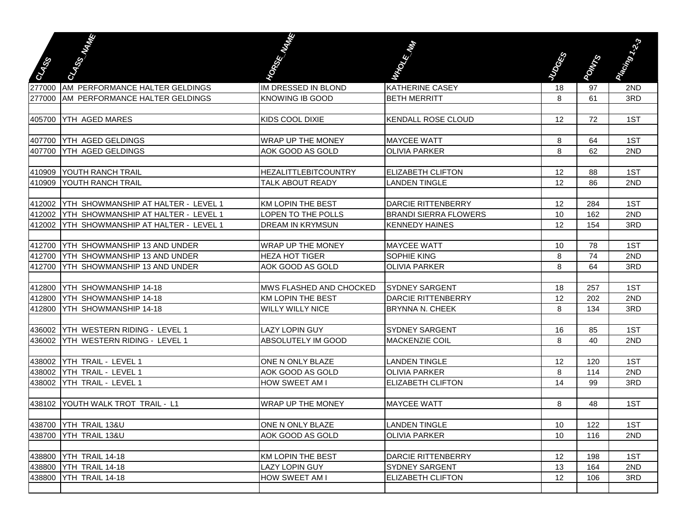| <b>Base</b> | <b>CARGINAL</b>                            | <b>Contract Contract Contract Contract Contract Contract Contract Contract Contract Contract Contract Contract C</b> | March 1986                                            | <b>Research</b> | <b>POWER</b> | President of the State |
|-------------|--------------------------------------------|----------------------------------------------------------------------------------------------------------------------|-------------------------------------------------------|-----------------|--------------|------------------------|
| 277000      | AM PERFORMANCE HALTER GELDINGS             | IM DRESSED IN BLOND                                                                                                  | <b>KATHERINE CASEY</b>                                | 18              | 97           | 2ND                    |
|             | 277000 AM PERFORMANCE HALTER GELDINGS      | <b>KNOWING IB GOOD</b>                                                                                               | <b>BETH MERRITT</b>                                   | 8               | 61           | 3RD                    |
|             |                                            |                                                                                                                      |                                                       |                 |              |                        |
|             | 405700 YTH AGED MARES                      | <b>KIDS COOL DIXIE</b>                                                                                               | <b>KENDALL ROSE CLOUD</b>                             | 12              | 72           | 1ST                    |
|             |                                            |                                                                                                                      |                                                       |                 |              |                        |
|             | 407700 YTH AGED GELDINGS                   | <b>WRAP UP THE MONEY</b>                                                                                             | <b>MAYCEE WATT</b>                                    | 8               | 64           | 1ST                    |
|             | 407700 YTH AGED GELDINGS                   | AOK GOOD AS GOLD                                                                                                     | <b>OLIVIA PARKER</b>                                  | 8               | 62           | 2ND                    |
|             |                                            |                                                                                                                      |                                                       |                 |              |                        |
|             | 410909 YOUTH RANCH TRAIL                   | <b>HEZALITTLEBITCOUNTRY</b>                                                                                          | <b>ELIZABETH CLIFTON</b>                              | 12              | 88           | 1ST                    |
|             | 410909 YOUTH RANCH TRAIL                   | <b>TALK ABOUT READY</b>                                                                                              | <b>LANDEN TINGLE</b>                                  | 12              | 86           | 2ND                    |
|             |                                            |                                                                                                                      |                                                       |                 |              |                        |
| 412002      | <b>YTH SHOWMANSHIP AT HALTER - LEVEL 1</b> | <b>KM LOPIN THE BEST</b>                                                                                             | <b>DARCIE RITTENBERRY</b>                             | 12              | 284          | 1ST                    |
| 412002      | YTH SHOWMANSHIP AT HALTER - LEVEL 1        | LOPEN TO THE POLLS<br><b>DREAM IN KRYMSUN</b>                                                                        | <b>BRANDI SIERRA FLOWERS</b><br><b>KENNEDY HAINES</b> | 10              | 162          | 2ND                    |
| 412002      | YTH SHOWMANSHIP AT HALTER - LEVEL 1        |                                                                                                                      |                                                       | 12              | 154          | 3RD                    |
| 412700      | YTH SHOWMANSHIP 13 AND UNDER               | <b>WRAP UP THE MONEY</b>                                                                                             | <b>MAYCEE WATT</b>                                    | 10              | 78           | 1ST                    |
| 412700      | <b>IYTH SHOWMANSHIP 13 AND UNDER</b>       | <b>HEZA HOT TIGER</b>                                                                                                | <b>SOPHIE KING</b>                                    | 8               | 74           | 2ND                    |
| 412700      | YTH SHOWMANSHIP 13 AND UNDER               | AOK GOOD AS GOLD                                                                                                     | <b>OLIVIA PARKER</b>                                  | 8               | 64           | 3RD                    |
|             |                                            |                                                                                                                      |                                                       |                 |              |                        |
| 412800      | YTH SHOWMANSHIP 14-18                      | MWS FLASHED AND CHOCKED                                                                                              | <b>SYDNEY SARGENT</b>                                 | 18              | 257          | 1ST                    |
| 412800      | YTH SHOWMANSHIP 14-18                      | <b>KM LOPIN THE BEST</b>                                                                                             | <b>DARCIE RITTENBERRY</b>                             | 12              | 202          | 2ND                    |
| 412800      | YTH SHOWMANSHIP 14-18                      | <b>WILLY WILLY NICE</b>                                                                                              | <b>BRYNNA N. CHEEK</b>                                | 8               | 134          | 3RD                    |
|             |                                            |                                                                                                                      |                                                       |                 |              |                        |
|             | 436002 YTH WESTERN RIDING - LEVEL 1        | <b>LAZY LOPIN GUY</b>                                                                                                | <b>SYDNEY SARGENT</b>                                 | 16              | 85           | 1ST                    |
| 436002      | YTH WESTERN RIDING - LEVEL 1               | ABSOLUTELY IM GOOD                                                                                                   | <b>MACKENZIE COIL</b>                                 | 8               | 40           | 2ND                    |
|             |                                            |                                                                                                                      |                                                       |                 |              |                        |
|             | 438002 YTH TRAIL - LEVEL 1                 | ONE N ONLY BLAZE                                                                                                     | <b>LANDEN TINGLE</b>                                  | 12              | 120          | 1ST                    |
|             | 438002 YTH TRAIL - LEVEL 1                 | AOK GOOD AS GOLD                                                                                                     | <b>OLIVIA PARKER</b>                                  | 8               | 114          | 2ND                    |
|             | 438002 YTH TRAIL - LEVEL 1                 | HOW SWEET AM I                                                                                                       | <b>ELIZABETH CLIFTON</b>                              | 14              | 99           | 3RD                    |
|             |                                            |                                                                                                                      |                                                       |                 |              |                        |
|             | 438102 YOUTH WALK TROT TRAIL - L1          | <b>WRAP UP THE MONEY</b>                                                                                             | <b>MAYCEE WATT</b>                                    | 8               | 48           | 1ST                    |
|             |                                            |                                                                                                                      |                                                       |                 |              |                        |
|             | 438700 YTH TRAIL 13&U                      | ONE N ONLY BLAZE                                                                                                     | <b>LANDEN TINGLE</b>                                  | 10              | 122          | 1ST                    |
|             | 438700 YTH TRAIL 13&U                      | AOK GOOD AS GOLD                                                                                                     | <b>OLIVIA PARKER</b>                                  | 10              | 116          | 2ND                    |
|             |                                            |                                                                                                                      |                                                       |                 |              |                        |
|             | 438800 YTH TRAIL 14-18                     | <b>KM LOPIN THE BEST</b>                                                                                             | DARCIE RITTENBERRY                                    | 12              | 198          | 1ST                    |
| 438800      | YTH TRAIL 14-18                            | LAZY LOPIN GUY                                                                                                       | SYDNEY SARGENT                                        | 13              | 164          | 2ND                    |
| 438800      | YTH TRAIL 14-18                            | HOW SWEET AM I                                                                                                       | <b>ELIZABETH CLIFTON</b>                              | 12              | 106          | 3RD                    |
|             |                                            |                                                                                                                      |                                                       |                 |              |                        |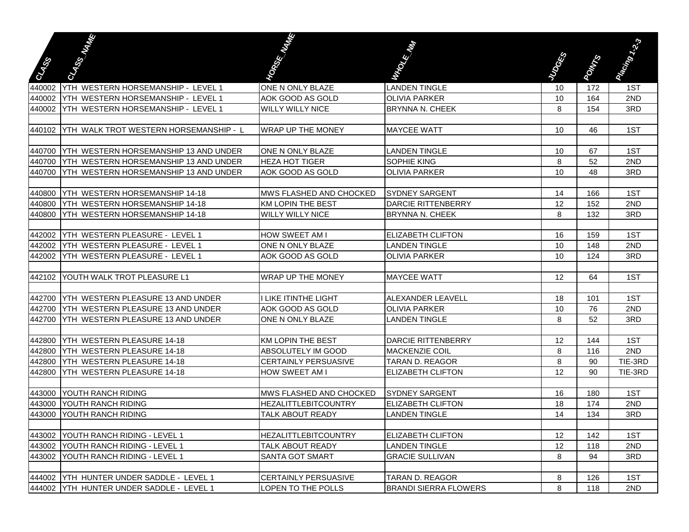|              | CLASS WARD                                    | <b>Contract Contract Contract Contract Contract Contract Contract Contract Contract Contract Contract Contract C</b> |                              |               |              |                    |
|--------------|-----------------------------------------------|----------------------------------------------------------------------------------------------------------------------|------------------------------|---------------|--------------|--------------------|
|              |                                               |                                                                                                                      |                              |               |              |                    |
| <b>Cales</b> |                                               |                                                                                                                      | March 1980                   | <b>RIVERS</b> | <b>POWER</b> | Plastron Residence |
| 440002       | YTH WESTERN HORSEMANSHIP - LEVEL 1            | ONE N ONLY BLAZE                                                                                                     | <b>LANDEN TINGLE</b>         | 10            | 172          | 1ST                |
| 440002       | <b>YTH WESTERN HORSEMANSHIP - LEVEL 1</b>     | AOK GOOD AS GOLD                                                                                                     | <b>OLIVIA PARKER</b>         | 10            | 164          | 2ND                |
| 440002       | <b>YTH WESTERN HORSEMANSHIP - LEVEL 1</b>     | <b>WILLY WILLY NICE</b>                                                                                              | <b>BRYNNA N. CHEEK</b>       | 8             | 154          | 3RD                |
|              |                                               |                                                                                                                      |                              |               |              |                    |
| 440102       | <b>YTH WALK TROT WESTERN HORSEMANSHIP - L</b> | <b>WRAP UP THE MONEY</b>                                                                                             | <b>MAYCEE WATT</b>           | 10            | 46           | 1ST                |
|              |                                               |                                                                                                                      |                              |               |              |                    |
| 440700       | <b>IYTH WESTERN HORSEMANSHIP 13 AND UNDER</b> | ONE N ONLY BLAZE                                                                                                     | <b>LANDEN TINGLE</b>         | 10            | 67           | 1ST                |
|              | 440700 YTH WESTERN HORSEMANSHIP 13 AND UNDER  | <b>HEZA HOT TIGER</b>                                                                                                | SOPHIE KING                  | 8             | 52           | 2ND                |
| 440700       | <b>YTH WESTERN HORSEMANSHIP 13 AND UNDER</b>  | AOK GOOD AS GOLD                                                                                                     | <b>OLIVIA PARKER</b>         | 10            | 48           | 3RD                |
|              |                                               |                                                                                                                      |                              |               |              |                    |
| 440800       | <b>YTH WESTERN HORSEMANSHIP 14-18</b>         | MWS FLASHED AND CHOCKED                                                                                              | <b>SYDNEY SARGENT</b>        | 14            | 166          | 1ST                |
| 440800       | <b>YTH WESTERN HORSEMANSHIP 14-18</b>         | <b>KM LOPIN THE BEST</b>                                                                                             | <b>DARCIE RITTENBERRY</b>    | 12            | 152          | 2ND                |
| 440800       | YTH WESTERN HORSEMANSHIP 14-18                | <b>WILLY WILLY NICE</b>                                                                                              | <b>BRYNNA N. CHEEK</b>       | 8             | 132          | 3RD                |
|              |                                               |                                                                                                                      |                              |               |              |                    |
| 442002       | YTH WESTERN PLEASURE - LEVEL 1                | HOW SWEET AM I                                                                                                       | <b>ELIZABETH CLIFTON</b>     | 16            | 159          | 1ST                |
| 442002       | YTH WESTERN PLEASURE - LEVEL 1                | ONE N ONLY BLAZE                                                                                                     | <b>LANDEN TINGLE</b>         | 10            | 148          | 2ND                |
| 442002       | YTH WESTERN PLEASURE - LEVEL 1                | AOK GOOD AS GOLD                                                                                                     | <b>OLIVIA PARKER</b>         | 10            | 124          | 3RD                |
|              |                                               |                                                                                                                      |                              |               |              |                    |
| 442102       | <b>YOUTH WALK TROT PLEASURE L1</b>            | <b>WRAP UP THE MONEY</b>                                                                                             | <b>MAYCEE WATT</b>           | 12            | 64           | 1ST                |
|              |                                               |                                                                                                                      |                              |               |              |                    |
| 442700       | YTH WESTERN PLEASURE 13 AND UNDER             | I LIKE ITINTHE LIGHT                                                                                                 | ALEXANDER LEAVELL            | 18            | 101          | 1ST                |
| 442700       | YTH WESTERN PLEASURE 13 AND UNDER             | AOK GOOD AS GOLD                                                                                                     | <b>OLIVIA PARKER</b>         | 10            | 76           | 2ND                |
| 442700       | YTH WESTERN PLEASURE 13 AND UNDER             | ONE N ONLY BLAZE                                                                                                     | <b>LANDEN TINGLE</b>         | 8             | 52           | 3RD                |
|              |                                               |                                                                                                                      |                              |               |              |                    |
| 442800       | <b>YTH WESTERN PLEASURE 14-18</b>             | <b>KM LOPIN THE BEST</b>                                                                                             | <b>DARCIE RITTENBERRY</b>    | 12            | 144          | 1ST                |
| 442800       | <b>IYTH WESTERN PLEASURE 14-18</b>            | ABSOLUTELY IM GOOD                                                                                                   | <b>MACKENZIE COIL</b>        | 8             | 116          | 2ND                |
| 442800       | <b>YTH WESTERN PLEASURE 14-18</b>             | <b>CERTAINLY PERSUASIVE</b>                                                                                          | TARAN D. REAGOR              | 8             | 90           | TIE-3RD            |
| 442800       | YTH WESTERN PLEASURE 14-18                    | HOW SWEET AM I                                                                                                       | <b>ELIZABETH CLIFTON</b>     | 12            | 90           | TIE-3RD            |
|              |                                               |                                                                                                                      |                              |               |              |                    |
|              | 443000 YOUTH RANCH RIDING                     | MWS FLASHED AND CHOCKED                                                                                              | <b>SYDNEY SARGENT</b>        | 16            | 180          | 1ST                |
|              | 443000 YOUTH RANCH RIDING                     | <b>HEZALITTLEBITCOUNTRY</b>                                                                                          | <b>ELIZABETH CLIFTON</b>     | 18            | 174          | 2ND                |
|              | 443000 YOUTH RANCH RIDING                     | <b>TALK ABOUT READY</b>                                                                                              | <b>LANDEN TINGLE</b>         | 14            | 134          | 3RD                |
|              |                                               |                                                                                                                      |                              |               |              |                    |
|              | 443002 YOUTH RANCH RIDING - LEVEL 1           | <b>HEZALITTLEBITCOUNTRY</b>                                                                                          | ELIZABETH CLIFTON            | 12            | 142          | 1ST                |
|              | 443002 YOUTH RANCH RIDING - LEVEL 1           | <b>TALK ABOUT READY</b>                                                                                              | <b>LANDEN TINGLE</b>         | 12            | 118          | 2ND                |
| 443002       | YOUTH RANCH RIDING - LEVEL 1                  | SANTA GOT SMART                                                                                                      | <b>GRACIE SULLIVAN</b>       | 8             | 94           | 3RD                |
|              |                                               |                                                                                                                      |                              |               |              |                    |
|              | 444002 YTH HUNTER UNDER SADDLE - LEVEL 1      | CERTAINLY PERSUASIVE                                                                                                 | TARAN D. REAGOR              | 8             | 126          | 1ST                |
|              | 444002 YTH HUNTER UNDER SADDLE - LEVEL 1      | LOPEN TO THE POLLS                                                                                                   | <b>BRANDI SIERRA FLOWERS</b> | 8             | 118          | 2ND                |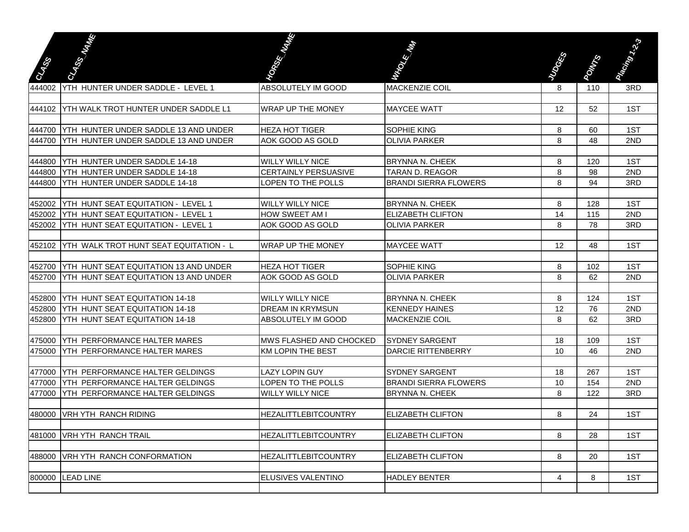|                  | Carton Maria                                                                  | <b>Contract Contract Contract Contract Contract Contract Contract Contract Contract Contract Contract Contract C</b> | <b>RECORDS</b>                                   |                |              | Premium Res |
|------------------|-------------------------------------------------------------------------------|----------------------------------------------------------------------------------------------------------------------|--------------------------------------------------|----------------|--------------|-------------|
| <b>STAR</b>      |                                                                               |                                                                                                                      |                                                  | <b>RESERVE</b> | <b>POWER</b> |             |
| 444002           | YTH HUNTER UNDER SADDLE - LEVEL 1                                             | ABSOLUTELY IM GOOD                                                                                                   | <b>MACKENZIE COIL</b>                            | 8              | 110          | 3RD         |
|                  |                                                                               |                                                                                                                      |                                                  |                |              |             |
|                  | 444102 YTH WALK TROT HUNTER UNDER SADDLE L1                                   | <b>WRAP UP THE MONEY</b>                                                                                             | <b>MAYCEE WATT</b>                               | 12             | 52           | 1ST         |
|                  |                                                                               |                                                                                                                      |                                                  |                |              |             |
| 444700           | YTH HUNTER UNDER SADDLE 13 AND UNDER                                          | <b>HEZA HOT TIGER</b>                                                                                                | <b>SOPHIE KING</b>                               | 8              | 60           | 1ST         |
| 444700           | YTH HUNTER UNDER SADDLE 13 AND UNDER                                          | AOK GOOD AS GOLD                                                                                                     | <b>OLIVIA PARKER</b>                             | 8              | 48           | 2ND         |
|                  | YTH HUNTER UNDER SADDLE 14-18                                                 |                                                                                                                      |                                                  |                |              | 1ST         |
| 444800           |                                                                               | <b>WILLY WILLY NICE</b>                                                                                              | <b>BRYNNA N. CHEEK</b>                           | 8              | 120          |             |
| 444800<br>444800 | <b>IYTH HUNTER UNDER SADDLE 14-18</b><br><b>YTH HUNTER UNDER SADDLE 14-18</b> | <b>CERTAINLY PERSUASIVE</b><br><b>LOPEN TO THE POLLS</b>                                                             | ITARAN D. REAGOR<br><b>BRANDI SIERRA FLOWERS</b> | 8<br>8         | 98<br>94     | 2ND<br>3RD  |
|                  |                                                                               |                                                                                                                      |                                                  |                |              |             |
|                  | 452002   YTH HUNT SEAT EQUITATION - LEVEL 1                                   | <b>WILLY WILLY NICE</b>                                                                                              | <b>BRYNNA N. CHEEK</b>                           | 8              | 128          | 1ST         |
|                  | 452002   YTH HUNT SEAT EQUITATION - LEVEL 1                                   | HOW SWEET AM I                                                                                                       | <b>ELIZABETH CLIFTON</b>                         | 14             | 115          | 2ND         |
| 452002           | <b>YTH HUNT SEAT EQUITATION - LEVEL 1</b>                                     | AOK GOOD AS GOLD                                                                                                     | <b>OLIVIA PARKER</b>                             | 8              | 78           | 3RD         |
|                  |                                                                               |                                                                                                                      |                                                  |                |              |             |
| 452102           | YTH WALK TROT HUNT SEAT EQUITATION - L                                        | <b>WRAP UP THE MONEY</b>                                                                                             | <b>MAYCEE WATT</b>                               | 12             | 48           | 1ST         |
|                  |                                                                               |                                                                                                                      |                                                  |                |              |             |
| 452700           | <b>YTH HUNT SEAT EQUITATION 13 AND UNDER</b>                                  | <b>HEZA HOT TIGER</b>                                                                                                | <b>SOPHIE KING</b>                               | 8              | 102          | 1ST         |
| 452700           | YTH HUNT SEAT EQUITATION 13 AND UNDER                                         | AOK GOOD AS GOLD                                                                                                     | <b>OLIVIA PARKER</b>                             | 8              | 62           | 2ND         |
|                  |                                                                               |                                                                                                                      |                                                  |                |              |             |
| 452800           | YTH HUNT SEAT EQUITATION 14-18                                                | <b>WILLY WILLY NICE</b>                                                                                              | <b>BRYNNA N. CHEEK</b>                           | 8              | 124          | 1ST         |
| 452800           | YTH HUNT SEAT EQUITATION 14-18                                                | <b>DREAM IN KRYMSUN</b>                                                                                              | <b>KENNEDY HAINES</b>                            | 12             | 76           | 2ND         |
| 452800           | YTH HUNT SEAT EQUITATION 14-18                                                | ABSOLUTELY IM GOOD                                                                                                   | <b>MACKENZIE COIL</b>                            | 8              | 62           | 3RD         |
|                  |                                                                               |                                                                                                                      |                                                  |                |              |             |
| 475000           | YTH PERFORMANCE HALTER MARES                                                  | MWS FLASHED AND CHOCKED                                                                                              | <b>SYDNEY SARGENT</b>                            | 18             | 109          | 1ST         |
| 475000           | YTH PERFORMANCE HALTER MARES                                                  | <b>KM LOPIN THE BEST</b>                                                                                             | <b>DARCIE RITTENBERRY</b>                        | 10             | 46           | 2ND         |
|                  |                                                                               |                                                                                                                      |                                                  |                |              |             |
| 477000           | YTH PERFORMANCE HALTER GELDINGS                                               | LAZY LOPIN GUY                                                                                                       | <b>SYDNEY SARGENT</b>                            | 18             | 267          | 1ST         |
| 477000           | YTH PERFORMANCE HALTER GELDINGS                                               | LOPEN TO THE POLLS                                                                                                   | <b>BRANDI SIERRA FLOWERS</b>                     | 10             | 154          | 2ND         |
| 477000           | YTH PERFORMANCE HALTER GELDINGS                                               | <b>WILLY WILLY NICE</b>                                                                                              | <b>BRYNNA N. CHEEK</b>                           | 8              | 122          | 3RD         |
| 480000           | VRH YTH RANCH RIDING                                                          | <b>HEZALITTLEBITCOUNTRY</b>                                                                                          | <b>IELIZABETH CLIFTON</b>                        | 8              | 24           | 1ST         |
|                  |                                                                               |                                                                                                                      |                                                  |                |              |             |
|                  | 481000 VRH YTH RANCH TRAIL                                                    | <b>HEZALITTLEBITCOUNTRY</b>                                                                                          | ELIZABETH CLIFTON                                | 8              | 28           | 1ST         |
|                  |                                                                               |                                                                                                                      |                                                  |                |              |             |
|                  | 488000 VRH YTH RANCH CONFORMATION                                             | HEZALITTLEBITCOUNTRY                                                                                                 | <b>ELIZABETH CLIFTON</b>                         | 8              | 20           | 1ST         |
|                  |                                                                               |                                                                                                                      |                                                  |                |              |             |
| 800000           | <b>LEAD LINE</b>                                                              | ELUSIVES VALENTINO                                                                                                   | <b>HADLEY BENTER</b>                             | 4              | 8            | 1ST         |
|                  |                                                                               |                                                                                                                      |                                                  |                |              |             |